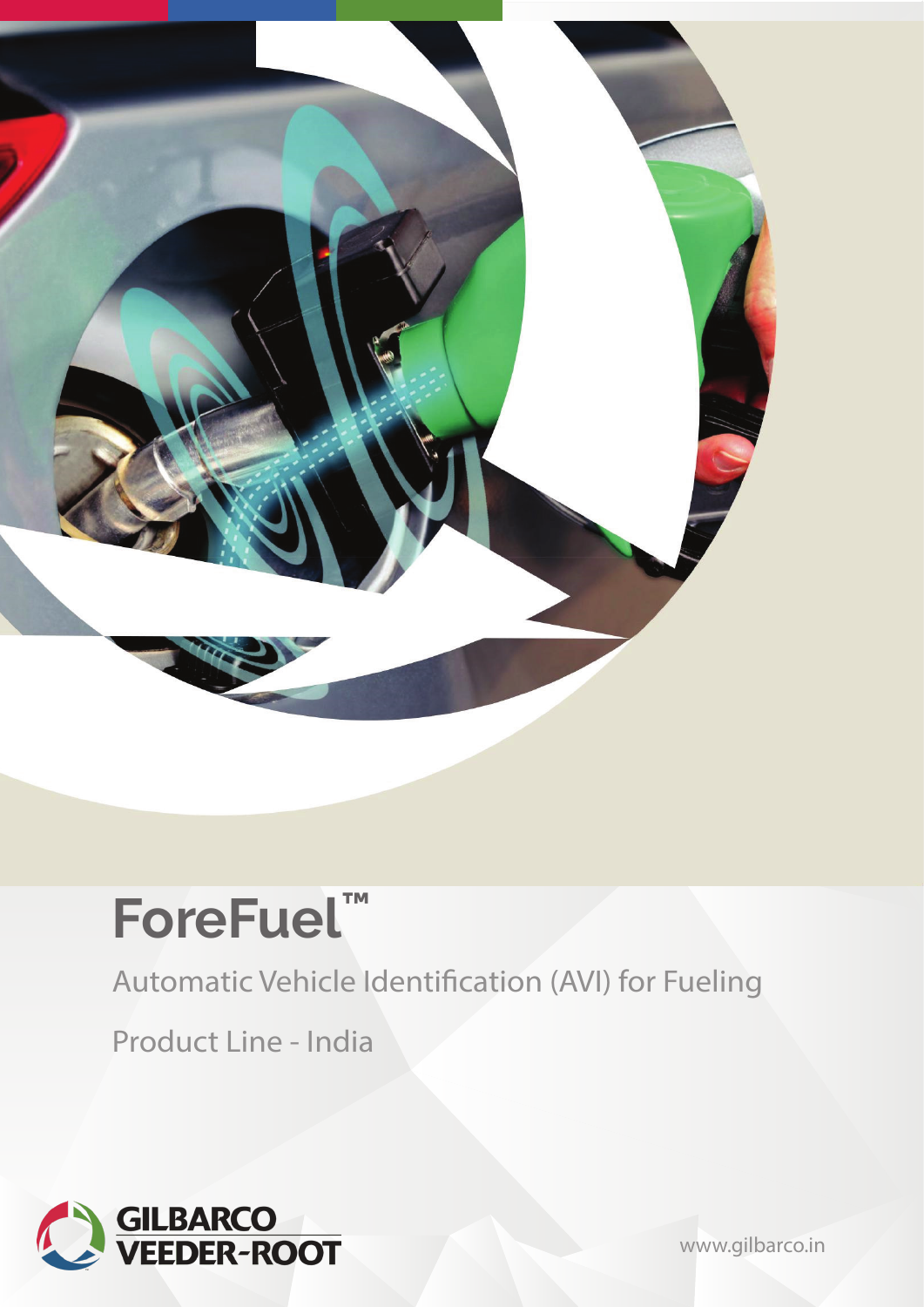

# **ForeFuel ™**

Automatic Vehicle Identification (AVI) for Fueling

Product Line - India



[www.gilbarco.in](https://www.gilbarco.in/)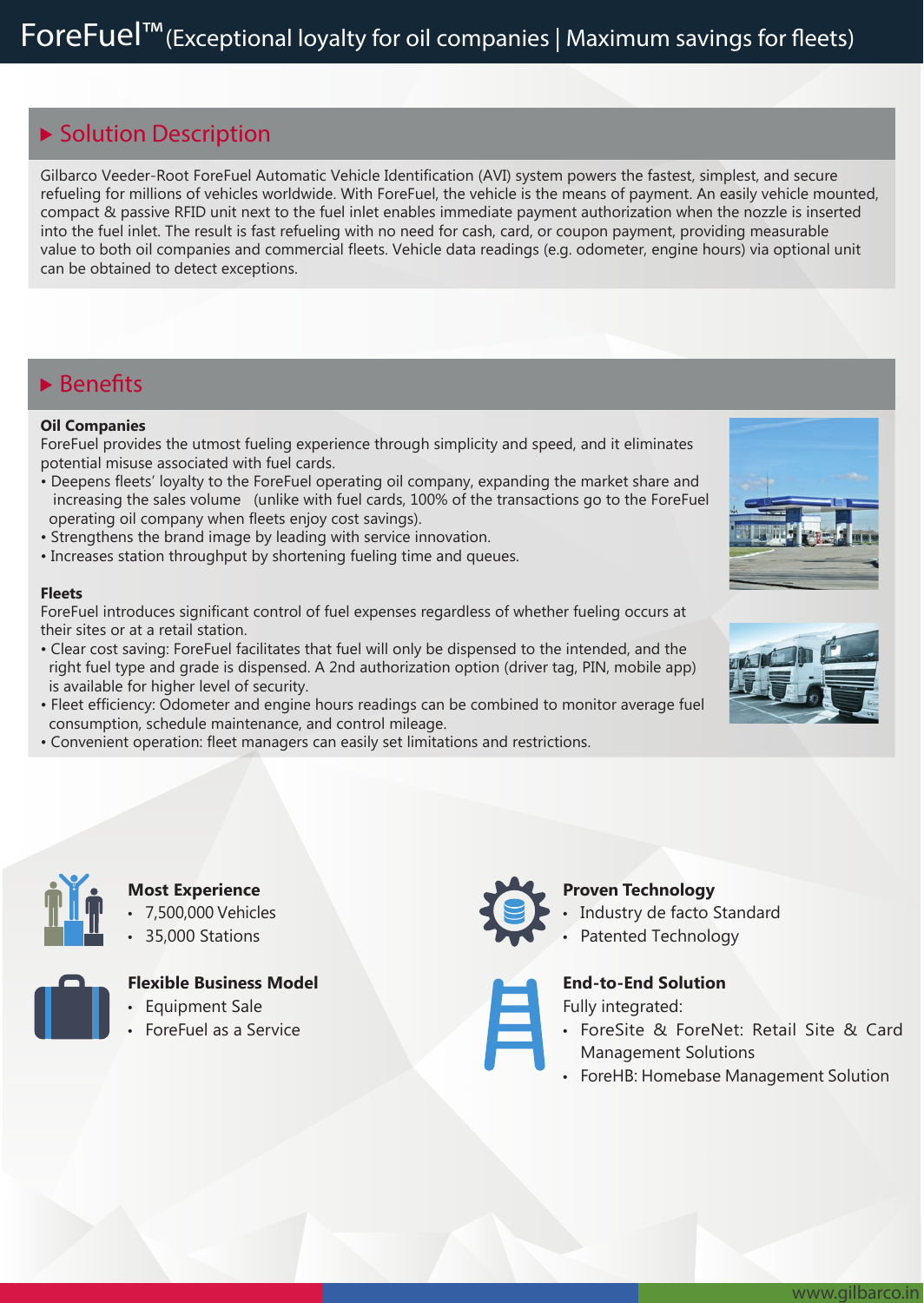### **Solution Description**

Gilbarco Veeder-Root ForeFuel Automatic Vehicle Identification (AVI) system powers the fastest, simplest, and secure refueling for millions of vehicles worldwide. With ForeFuel, the vehicle is the means of payment. An easily vehicle mounted, compact & passive RFID unit next to the fuel inlet enables immediate payment authorization when the nozzle is inserted into the fuel inlet. The result is fast refueling with no need for cash, card, or coupon payment, providing measurable value to both oil companies and commercial fleets. Vehicle data readings (e.g. odometer, engine hours) via optional unit can be obtained to detect exceptions.

### **Benets**

#### **Oil Companies**

ForeFuel provides the utmost fueling experience through simplicity and speed, and it eliminates potential misuse associated with fuel cards.

- Deepens fleets' loyalty to the ForeFuel operating oil company, expanding the market share and increasing the sales volume (unlike with fuel cards, 100% of the transactions go to the ForeFuel operating oil company when fleets enjoy cost savings).
- Strengthens the brand image by leading with service innovation.
- Increases station throughput by shortening fueling time and queues.

#### **Fleets**

ForeFuel introduces significant control of fuel expenses regardless of whether fueling occurs at their sites or at a retail station.

- Clear cost saving: ForeFuel facilitates that fuel will only be dispensed to the intended, and the right fuel type and grade is dispensed. A 2nd authorization option (driver tag, PIN, mobile app) is available for higher level of security.
- Fleet efficiency: Odometer and engine hours readings can be combined to monitor average fuel consumption, schedule maintenance, and control mileage.
- Convenient operation: fleet managers can easily set limitations and restrictions.







#### **Most Experience**

- 7,500,000 Vehicles
- 35,000 Stations

• Equipment Sale • ForeFuel as a Service



**Flexible Business Model**

- **Proven Technology**
	- Industry de facto Standard
	- Patented Technology

### **End-to-End Solution**

### Fully integrated:

- ForeSite & ForeNet: Retail Site & Card
- Management Solutions
- ForeHB: Homebase Management Solution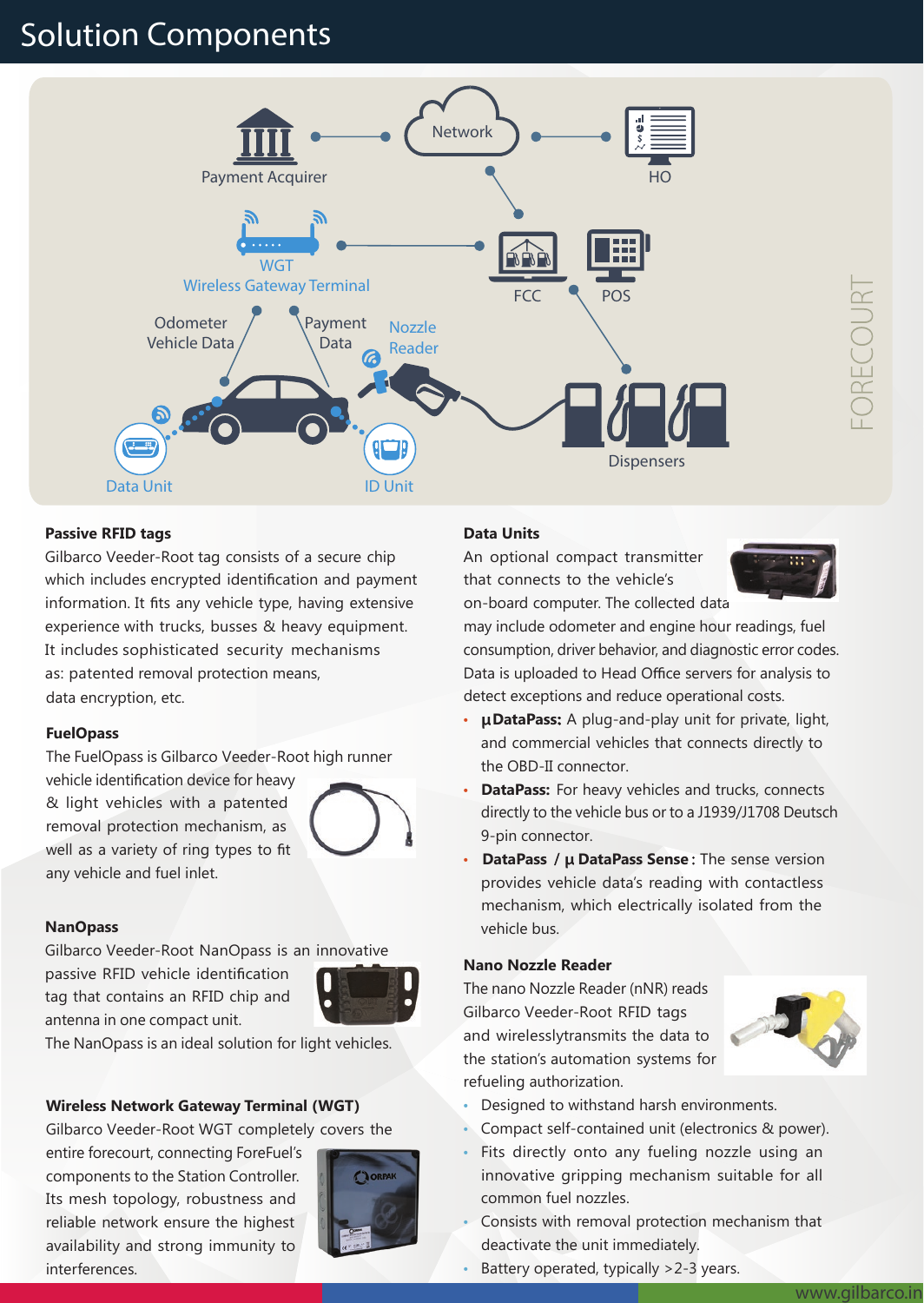## **Solution Components**



#### **Passive RFID tags**

Gilbarco Veeder-Root tag consists of a secure chip which includes encrypted identification and payment information. It fits any vehicle type, having extensive experience with trucks, busses & heavy equipment. It includes sophisticated security mechanisms as: patented removal protection means, data encryption, etc.

#### **FuelOpass**

The FuelOpass is Gilbarco Veeder-Root high runner

vehicle identification device for heavy & light vehicles with a patented removal protection mechanism, as well as a variety of ring types to fit any vehicle and fuel inlet.



Gilbarco Veeder-Root NanOpass is an innovative

passive RFID vehicle identification tag that contains an RFID chip and antenna in one compact unit.



The NanOpass is an ideal solution for light vehicles.

#### **Wireless Network Gateway Terminal (WGT)**

Gilbarco Veeder-Root WGT completely covers the

entire forecourt, connecting ForeFuel's components to the Station Controller. Its mesh topology, robustness and reliable network ensure the highest availability and strong immunity to interferences.



#### **Data Units**

An optional compact transmitter that connects to the vehicle's on-board computer. The collected data



may include odometer and engine hour readings, fuel consumption, driver behavior, and diagnostic error codes. Data is uploaded to Head Office servers for analysis to detect exceptions and reduce operational costs.

- **µDataPass:** A plug-and-play unit for private, light, and commercial vehicles that connects directly to the OBD-II connector.
- **DataPass:** For heavy vehicles and trucks, connects directly to the vehicle bus or to a J1939/J1708 Deutsch 9-pin connector.
- DataPass /  $\mu$  DataPass Sense: The sense version provides vehicle data's reading with contactless mechanism, which electrically isolated from the **NanOpass** vehicle bus.

#### **Nano Nozzle Reader**

The nano Nozzle Reader (nNR) reads Gilbarco Veeder-Root RFID tags and wirelesslytransmits the data to the station's automation systems for refueling authorization.



- Designed to withstand harsh environments.
- Compact self-contained unit (electronics & power).
- Fits directly onto any fueling nozzle using an innovative gripping mechanism suitable for all common fuel nozzles.
- Consists with removal protection mechanism that deactivate the unit immediately.
- Battery operated, typically >2-3 years.